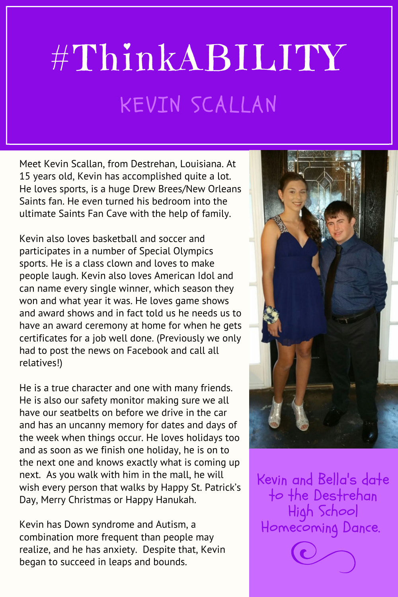## #ThinkABILITY KEVIN SCALLAN

Meet Kevin Scallan, from Destrehan, Louisiana. At 15 years old, Kevin has accomplished quite a lot. He loves sports, is a huge Drew Brees/New Orleans Saints fan. He even turned his bedroom into the ultimate Saints Fan Cave with the help of family.

Kevin also loves basketball and soccer and participates in a number of Special Olympics sports. He is a class clown and loves to make people laugh. Kevin also loves American Idol and can name every single winner, which season they won and what year it was. He loves game shows and award shows and in fact told us he needs us to have an award ceremony at home for when he gets certificates for a job well done. (Previously we only had to post the news on Facebook and call all relatives!)

He is a true character and one with many friends. He is also our safety monitor making sure we all have our seatbelts on before we drive in the car and has an uncanny memory for dates and days of the week when things occur. He loves holidays too and as soon as we finish one holiday, he is on to the next one and knows exactly what is coming up next. As you walk with him in the mall, he will wish every person that walks by Happy St. Patrick's Day, Merry Christmas or Happy Hanukah.

Kevin has Down syndrome and Autism, a combination more frequent than people may realize, and he has anxiety. Despite that, Kevin began to succeed in leaps and bounds.



Kevin and Bella's date to the Destrehan High School Homecoming Dance.